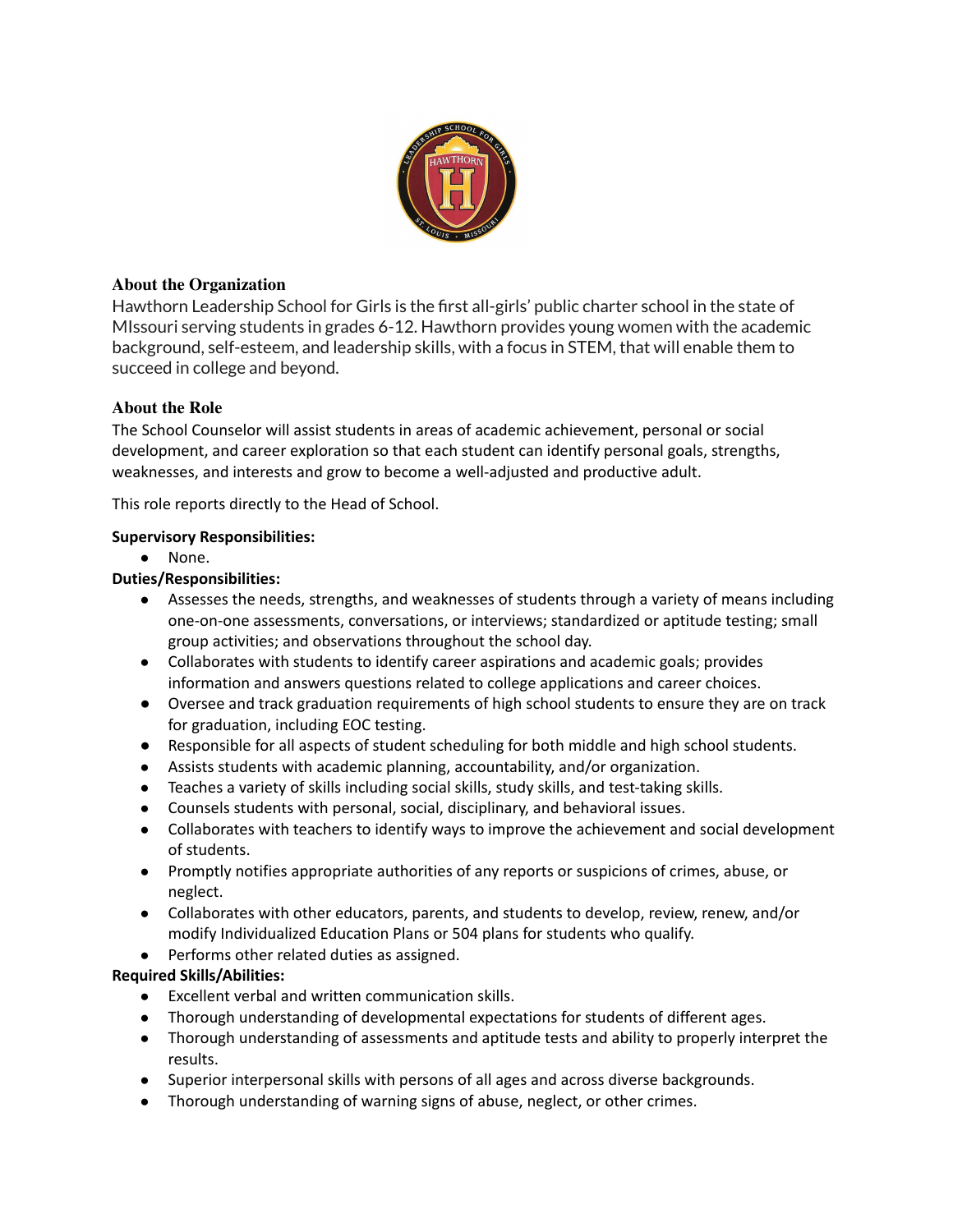

## **About the Organization**

Hawthorn Leadership School for Girls is the first all-girls' public charter school in the state of MIssouri serving students in grades 6-12. Hawthorn provides young women with the academic background, self-esteem, and leadership skills, with a focus in STEM, that will enable them to succeed in college and beyond.

# **About the Role**

The School Counselor will assist students in areas of academic achievement, personal or social development, and career exploration so that each student can identify personal goals, strengths, weaknesses, and interests and grow to become a well-adjusted and productive adult.

This role reports directly to the Head of School.

### **Supervisory Responsibilities:**

● None.

### **Duties/Responsibilities:**

- Assesses the needs, strengths, and weaknesses of students through a variety of means including one-on-one assessments, conversations, or interviews; standardized or aptitude testing; small group activities; and observations throughout the school day.
- Collaborates with students to identify career aspirations and academic goals; provides information and answers questions related to college applications and career choices.
- Oversee and track graduation requirements of high school students to ensure they are on track for graduation, including EOC testing.
- Responsible for all aspects of student scheduling for both middle and high school students.
- Assists students with academic planning, accountability, and/or organization.
- Teaches a variety of skills including social skills, study skills, and test-taking skills.
- Counsels students with personal, social, disciplinary, and behavioral issues.
- Collaborates with teachers to identify ways to improve the achievement and social development of students.
- Promptly notifies appropriate authorities of any reports or suspicions of crimes, abuse, or neglect.
- Collaborates with other educators, parents, and students to develop, review, renew, and/or modify Individualized Education Plans or 504 plans for students who qualify.
- Performs other related duties as assigned.

### **Required Skills/Abilities:**

- Excellent verbal and written communication skills.
- Thorough understanding of developmental expectations for students of different ages.
- Thorough understanding of assessments and aptitude tests and ability to properly interpret the results.
- Superior interpersonal skills with persons of all ages and across diverse backgrounds.
- Thorough understanding of warning signs of abuse, neglect, or other crimes.